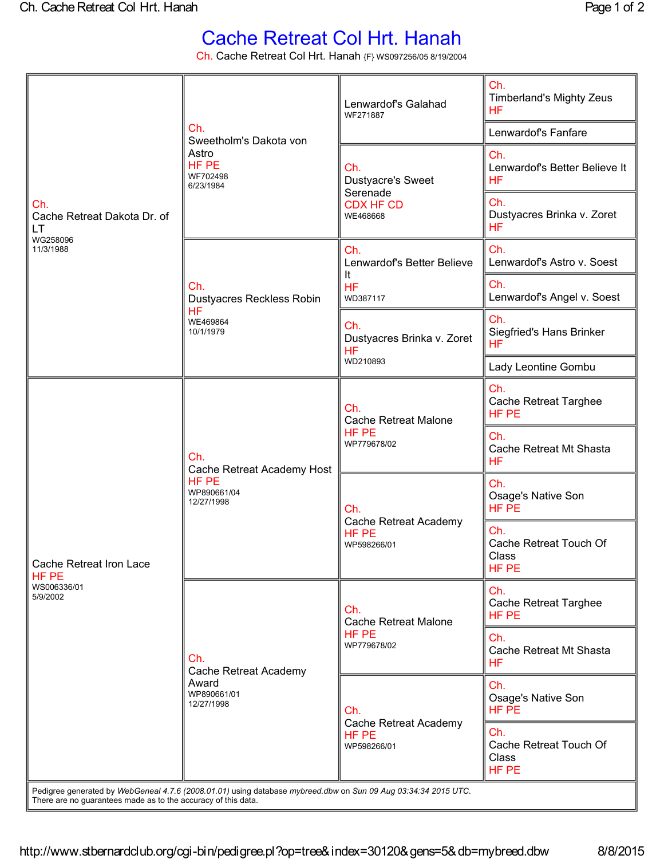## Cache Retreat Col Hrt. Hanah

Ch. Cache Retreat Col Hrt. Hanah {F} WS097256/05 8/19/2004

| Ch.<br>Cache Retreat Dakota Dr. of<br>LT<br>WG258096<br>11/3/1988                                                                                                               | Ch.<br>Sweetholm's Dakota von<br>Astro<br>HF PE<br>WF702498<br>6/23/1984 | Lenwardof's Galahad<br>WF271887                                      | Ch.<br><b>Timberland's Mighty Zeus</b><br><b>HF</b> |
|---------------------------------------------------------------------------------------------------------------------------------------------------------------------------------|--------------------------------------------------------------------------|----------------------------------------------------------------------|-----------------------------------------------------|
|                                                                                                                                                                                 |                                                                          |                                                                      | Lenwardof's Fanfare                                 |
|                                                                                                                                                                                 |                                                                          | Ch.<br>Dustyacre's Sweet<br>Serenade<br><b>CDX HF CD</b><br>WE468668 | Ch.<br>Lenwardof's Better Believe It<br><b>HF</b>   |
|                                                                                                                                                                                 |                                                                          |                                                                      | Ch.<br>Dustyacres Brinka v. Zoret<br><b>HF</b>      |
|                                                                                                                                                                                 | Ch.<br>Dustyacres Reckless Robin<br>HF.<br>WE469864<br>10/1/1979         | Ch.<br>Lenwardof's Better Believe<br>It<br><b>HF</b><br>WD387117     | Ch.<br>Lenwardof's Astro v. Soest                   |
|                                                                                                                                                                                 |                                                                          |                                                                      | Ch.<br>Lenwardof's Angel v. Soest                   |
|                                                                                                                                                                                 |                                                                          | Ch.<br>Dustyacres Brinka v. Zoret<br><b>HF</b><br>WD210893           | Ch.<br>Siegfried's Hans Brinker<br><b>HF</b>        |
|                                                                                                                                                                                 |                                                                          |                                                                      | Lady Leontine Gombu                                 |
| Cache Retreat Iron Lace<br>HF PE<br>WS006336/01<br>5/9/2002                                                                                                                     | Ch.<br>Cache Retreat Academy Host<br>HF PE<br>WP890661/04<br>12/27/1998  | Ch.<br><b>Cache Retreat Malone</b><br>HF PE<br>WP779678/02           | Ch.<br><b>Cache Retreat Targhee</b><br>HF PE        |
|                                                                                                                                                                                 |                                                                          |                                                                      | Ch.<br>Cache Retreat Mt Shasta<br><b>HF</b>         |
|                                                                                                                                                                                 |                                                                          | Ch.<br>Cache Retreat Academy<br>HF PE<br>WP598266/01                 | Ch.<br>Osage's Native Son<br>HF PE                  |
|                                                                                                                                                                                 |                                                                          |                                                                      | Ch.<br>Cache Retreat Touch Of<br>Class<br>HF PE     |
|                                                                                                                                                                                 | Ch.<br>Cache Retreat Academy<br>Award<br>WP890661/01<br>12/27/1998       | Ch.<br><b>Cache Retreat Malone</b><br>HF PE<br>WP779678/02           | Ch.<br><b>Cache Retreat Targhee</b><br>HF PE        |
|                                                                                                                                                                                 |                                                                          |                                                                      | Ch.<br>Cache Retreat Mt Shasta<br><b>HF</b>         |
|                                                                                                                                                                                 |                                                                          | Ch.<br>Cache Retreat Academy<br>HF PE<br>WP598266/01                 | Ch.<br>Osage's Native Son<br>HF PE                  |
|                                                                                                                                                                                 |                                                                          |                                                                      | Ch.<br>Cache Retreat Touch Of<br>Class<br>HF PE     |
| Pedigree generated by WebGeneal 4.7.6 (2008.01.01) using database mybreed.dbw on Sun 09 Aug 03:34:34 2015 UTC.<br>There are no guarantees made as to the accuracy of this data. |                                                                          |                                                                      |                                                     |